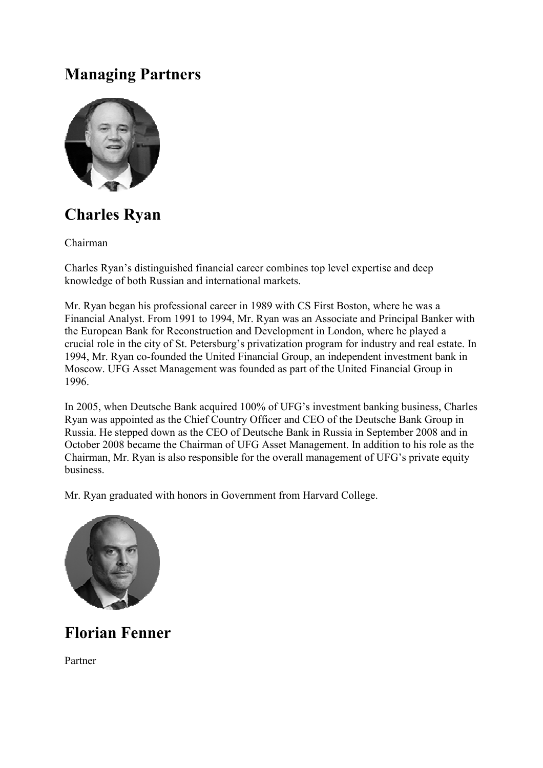## **Managing Partners**



## **Charles Ryan**

Chairman

Charles Ryan's distinguished financial career combines top level expertise and deep knowledge of both Russian and international markets.

Mr. Ryan began his professional career in 1989 with CS First Boston, where he was a Financial Analyst. From 1991 to 1994, Mr. Ryan was an Associate and Principal Banker with the European Bank for Reconstruction and Development in London, where he played a crucial role in the city of St. Petersburg's privatization program for industry and real estate. In 1994, Mr. Ryan co-founded the United Financial Group, an independent investment bank in Moscow. UFG Asset Management was founded as part of the United Financial Group in 1996.

In 2005, when Deutsche Bank acquired 100% of UFG's investment banking business, Charles Ryan was appointed as the Chief Country Officer and CEO of the Deutsche Bank Group in Russia. He stepped down as the CEO of Deutsche Bank in Russia in September 2008 and in October 2008 became the Chairman of UFG Asset Management. In addition to his role as the Chairman, Mr. Ryan is also responsible for the overall management of UFG's private equity business.

Mr. Ryan graduated with honors in Government from Harvard College.



**Florian Fenner** 

Partner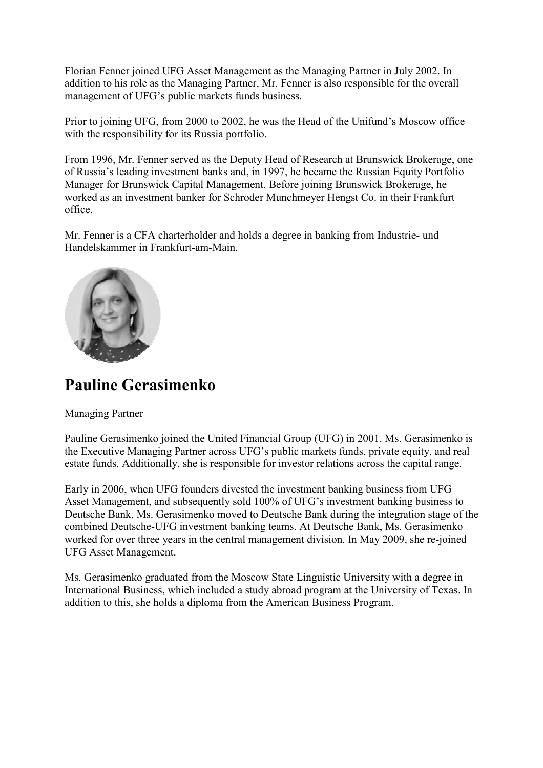Florian Fenner joined UFG Asset Management as the Managing Partner in July 2002. In addition to his role as the Managing Partner, Mr. Fenner is also responsible for the overall management of UFG's public markets funds business.

Prior to joining UFG, from 2000 to 2002, he was the Head of the Unifund's Moscow office with the responsibility for its Russia portfolio.

From 1996, Mr. Fenner served as the Deputy Head of Research at Brunswick Brokerage, one of Russia's leading investment banks and, in 1997, he became the Russian Equity Portfolio Manager for Brunswick Capital Management. Before joining Brunswick Brokerage, he worked as an investment banker for S Schroder Munchmeyer Hengst Co. in their Frankfurt office. Deputy Head of Research at Brunswick Brokera<br>and, in 1997, he became the Russian Equity Port<br>gement. Before joining Brunswick Brokerage, h<br>chroder Munchmeyer Hengst Co. in their Frankf<br>d holds a degree in banking from Indu

Mr. Fenner is a CFA charterholder and holds a degree in banking from Industrie Handelskammer in Frankfurt-am-Main.



## **Pauline Gerasimenko**

Managing Partner

Pauline Gerasimenko joined the United Financial Group (UFG) in 2001. Ms. Gerasimenko is the Executive Managing Partner across UFG's public markets funds, private equity, and real estate funds. Additionally, she is responsible for investor relations across the capital range.

Early in 2006, when UFG founders divested the investment banking business from UFG Asset Management, and subsequently sold 100% of UFG's investment banking business to Deutsche Bank, Ms. Gerasimenko moved to Deutsche Bank during the integration stage of the combined Deutsche-UFG investment banking teams. At Deutsche Bank, Ms. Gerasimenko worked for over three years in the central management division. In May 2009, she re-joined UFG Asset Management. tate funds. Additionally, she is responsible for investor relations across the caparly in 2006, when UFG founders divested the investment banking business frequently in 2006, when UFG founders divested the investment banki

Ms. Gerasimenko graduated from the Moscow State Linguistic University with a degree in International Business, which included a study abroad program at the University of Texas. In addition to this, she holds a diploma from the American Business Program.